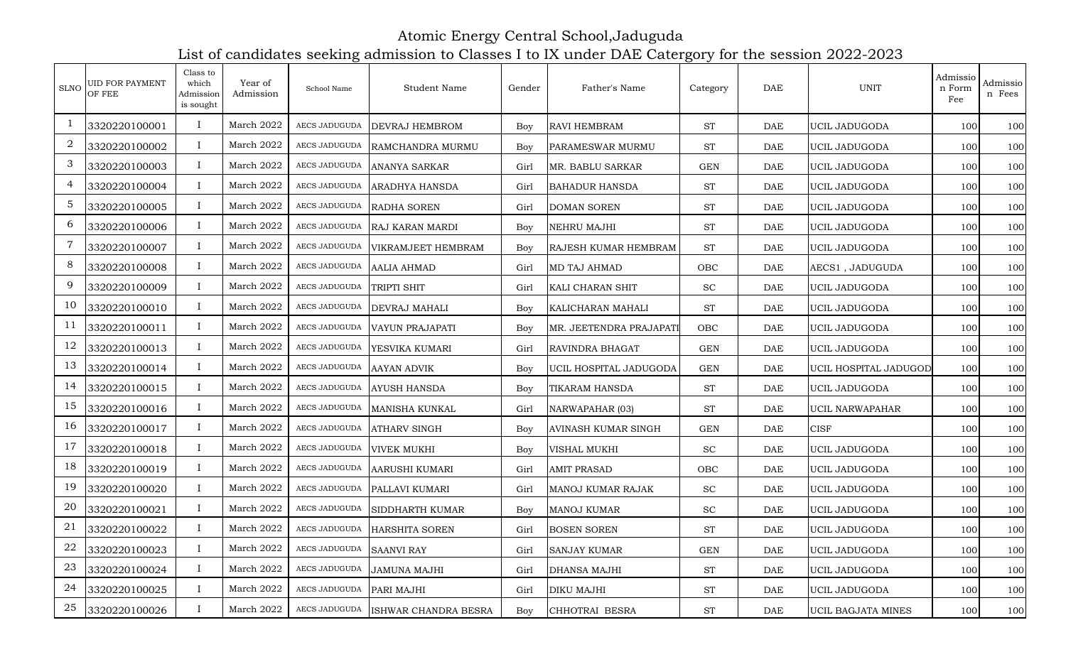Atomic Energy Central School,Jaduguda List of candidates seeking admission to Classes I to IX under DAE Catergory for the session 2022-2023

| <b>SLNO</b>     | UID FOR PAYMENT<br>OF FEE | Class to<br>which<br>Admission<br>is sought | Year of<br>Admission | School Name   | Student Name           | Gender     | Father's Name               | Category             | $\rm DAE$  | <b>UNIT</b>           | Admissio<br>n Form<br>Fee | Admissio<br>n Fees |
|-----------------|---------------------------|---------------------------------------------|----------------------|---------------|------------------------|------------|-----------------------------|----------------------|------------|-----------------------|---------------------------|--------------------|
|                 | 3320220100001             | $\mathbf{I}$                                | March 2022           | AECS JADUGUDA | DEVRAJ HEMBROM         | Boy        | <b>RAVI HEMBRAM</b>         | <b>ST</b>            | DAE        | <b>UCIL JADUGODA</b>  | 100                       | 100                |
| 2               | 3320220100002             | $\bf{I}$                                    | March 2022           | AECS JADUGUDA | RAMCHANDRA MURMU       | Boy        | PARAMESWAR MURMU            | <b>ST</b>            | DAE        | UCIL JADUGODA         | 100                       | 100                |
| 3               | 3320220100003             | $\bf{I}$                                    | March 2022           | AECS JADUGUDA | ANANYA SARKAR          | Girl       | MR. BABLU SARKAR            | $\operatorname{GEN}$ | DAE        | UCIL JADUGODA         | 100                       | 100                |
| 4               | 3320220100004             | $\mathbf{I}$                                | March 2022           | AECS JADUGUDA | ARADHYA HANSDA         | Girl       | <b>BAHADUR HANSDA</b>       | <b>ST</b>            | <b>DAE</b> | UCIL JADUGODA         | 100                       | 100                |
| $5\phantom{.0}$ | 3320220100005             | $\bf{I}$                                    | March 2022           | AECS JADUGUDA | RADHA SOREN            | Girl       | <b>DOMAN SOREN</b>          | <b>ST</b>            | DAE        | UCIL JADUGODA         | 100                       | 100                |
| 6               | 3320220100006             | $\bf{I}$                                    | March 2022           | AECS JADUGUDA | RAJ KARAN MARDI        | Boy        | <b>NEHRU MAJHI</b>          | <b>ST</b>            | DAE        | UCIL JADUGODA         | 100                       | 100                |
| $\overline{7}$  | 3320220100007             | $\bf{I}$                                    | March 2022           | AECS JADUGUDA | VIKRAMJEET HEMBRAM     | Boy        | <b>RAJESH KUMAR HEMBRAM</b> | <b>ST</b>            | DAE        | UCIL JADUGODA         | 100                       | 100                |
| 8               | 3320220100008             | $\bf{I}$                                    | March 2022           | AECS JADUGUDA | <b>AALIA AHMAD</b>     | Girl       | <b>MD TAJ AHMAD</b>         | OBC                  | DAE        | AECS1, JADUGUDA       | 100                       | 100                |
| 9               | 3320220100009             | $\bf{I}$                                    | March 2022           | AECS JADUGUDA | TRIPTI SHIT            | Girl       | KALI CHARAN SHIT            | <b>SC</b>            | <b>DAE</b> | UCIL JADUGODA         | 100                       | 100                |
| 10              | 3320220100010             | $\bf{I}$                                    | March 2022           | AECS JADUGUDA | <b>DEVRAJ MAHALI</b>   | Boy        | KALICHARAN MAHALI           | <b>ST</b>            | <b>DAE</b> | UCIL JADUGODA         | 100                       | 100                |
| 11              | 3320220100011             | $\bf{I}$                                    | March 2022           | AECS JADUGUDA | <b>VAYUN PRAJAPATI</b> | Boy        | MR. JEETENDRA PRAJAPATI     | OBC                  | DAE        | UCIL JADUGODA         | 100                       | 100                |
| 12              | 3320220100013             | $\mathbf{I}$                                | March 2022           | AECS JADUGUDA | YESVIKA KUMARI         | Girl       | <b>RAVINDRA BHAGAT</b>      | <b>GEN</b>           | DAE        | UCIL JADUGODA         | 100                       | 100                |
| 13              | 3320220100014             | $\bf{I}$                                    | March 2022           | AECS JADUGUDA | <b>AAYAN ADVIK</b>     | Boy        | UCIL HOSPITAL JADUGODA      | <b>GEN</b>           | DAE        | UCIL HOSPITAL JADUGOD | 100                       | 100                |
| 14              | 3320220100015             | $\bf{I}$                                    | March 2022           | AECS JADUGUDA | <b>AYUSH HANSDA</b>    | Boy        | <b>TIKARAM HANSDA</b>       | <b>ST</b>            | DAE        | UCIL JADUGODA         | 100                       | 100                |
| 15              | 3320220100016             | $\bf{I}$                                    | March 2022           | AECS JADUGUDA | MANISHA KUNKAL         | Girl       | NARWAPAHAR (03)             | <b>ST</b>            | DAE        | UCIL NARWAPAHAR       | 100                       | 100                |
| 16              | 3320220100017             | $\mathbf{I}$                                | March 2022           | AECS JADUGUDA | <b>ATHARV SINGH</b>    | Boy        | <b>AVINASH KUMAR SINGH</b>  | <b>GEN</b>           | <b>DAE</b> | <b>CISF</b>           | 100                       | 100                |
| 17              | 3320220100018             | $\bf{I}$                                    | March 2022           | AECS JADUGUDA | <b>VIVEK MUKHI</b>     | Boy        | <b>VISHAL MUKHI</b>         | $\operatorname{SC}$  | DAE        | UCIL JADUGODA         | 100                       | 100                |
| 18              | 3320220100019             | $\bf{I}$                                    | March 2022           | AECS JADUGUDA | AARUSHI KUMARI         | Girl       | <b>AMIT PRASAD</b>          | OBC                  | DAE        | UCIL JADUGODA         | 100                       | 100                |
| 19              | 3320220100020             | $\mathbf{I}$                                | March 2022           | AECS JADUGUDA | PALLAVI KUMARI         | Girl       | MANOJ KUMAR RAJAK           | <b>SC</b>            | DAE        | UCIL JADUGODA         | 100                       | 100                |
| $20\,$          | 3320220100021             | $\bf{I}$                                    | March 2022           | AECS JADUGUDA | SIDDHARTH KUMAR        | Boy        | <b>MANOJ KUMAR</b>          | SC                   | <b>DAE</b> | UCIL JADUGODA         | 100                       | 100                |
| 21              | 3320220100022             | $\bf{I}$                                    | March 2022           | AECS JADUGUDA | HARSHITA SOREN         | Girl       | <b>BOSEN SOREN</b>          | <b>ST</b>            | DAE        | UCIL JADUGODA         | 100                       | 100                |
| 22              | 3320220100023             | $\mathbf{I}$                                | March 2022           | AECS JADUGUDA | <b>SAANVI RAY</b>      | Girl       | <b>SANJAY KUMAR</b>         | <b>GEN</b>           | DAE        | UCIL JADUGODA         | 100                       | 100                |
| 23              | 3320220100024             | $\bf{I}$                                    | March 2022           | AECS JADUGUDA | <b>JAMUNA MAJHI</b>    | Girl       | <b>DHANSA MAJHI</b>         | <b>ST</b>            | DAE        | UCIL JADUGODA         | 100                       | 100                |
| 24              | 3320220100025             | $\bf{I}$                                    | March 2022           | AECS JADUGUDA | PARI MAJHI             | Girl       | <b>DIKU MAJHI</b>           | <b>ST</b>            | DAE        | UCIL JADUGODA         | 100                       | 100                |
| 25              | 3320220100026             | I                                           | March 2022           | AECS JADUGUDA | ISHWAR CHANDRA BESRA   | <b>Boy</b> | CHHOTRAI BESRA              | <b>ST</b>            | DAE        | UCIL BAGJATA MINES    | 100                       | 100                |